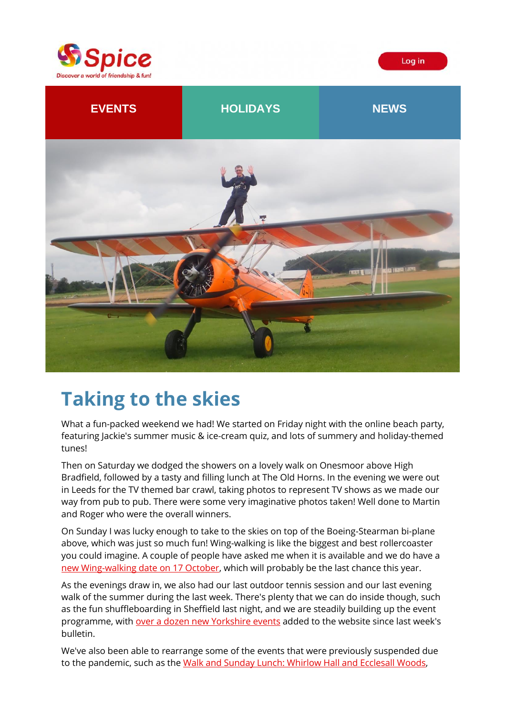



## **Taking to the skies**

What a fun-packed weekend we had! We started on Friday night with the online beach party, featuring Jackie's summer music & ice-cream quiz, and lots of summery and holiday-themed tunes!

Then on Saturday we dodged the showers on a lovely walk on Onesmoor above High Bradfield, followed by a tasty and filling lunch at The Old Horns. In the evening we were out in Leeds for the TV themed bar crawl, taking photos to represent TV shows as we made our way from pub to pub. There were some very imaginative photos taken! Well done to Martin and Roger who were the overall winners.

On Sunday I was lucky enough to take to the skies on top of the Boeing-Stearman bi-plane above, which was just so much fun! Wing-walking is like the biggest and best rollercoaster you could imagine. A couple of people have asked me when it is available and we do have a [new Wing-walking date on 17 October,](https://spiceuk.lt.acemlna.com/Prod/link-tracker?redirectUrl=aHR0cHMlM0ElMkYlMkZ3d3cuc3BpY2V1ay5jb20lMkZldmVudHMtaG9saWRheXMlMkZ3aW5nLXdhbGtpbmctaW4teW9ya3NoaXJlLTE3LW9jdC0yMQ==&sig=37rca9DpvsJotyYHMgzG4MTLTCGehSusy2MPFSFf29ax&iat=1629999909&a=650344965&account=spiceuk%2Eactivehosted%2Ecom&email=1lNuJE%2BrfgC%2F8jRYTdcwIV8mo4ad0FCroTtAVDq%2FbzQ%3D&s=b900027c55ea3ffe9431fd4817f89468&i=165A181A4A3903) which will probably be the last chance this year.

As the evenings draw in, we also had our last outdoor tennis session and our last evening walk of the summer during the last week. There's plenty that we can do inside though, such as the fun shuffleboarding in Sheffield last night, and we are steadily building up the event programme, with [over a dozen new Yorkshire events](https://spiceuk.lt.acemlna.com/Prod/link-tracker?redirectUrl=aHR0cHMlM0ElMkYlMkZ3d3cuc3BpY2V1ay5jb20lMkZldmVudHMtaG9saWRheXMlM0Zvd25lciUzRFNwaWNlJTI1MjBZb3Jrc2hpcmUlMjZtYXN0ZXJDYXRlZ29yeSUzREFsbCUyNmRheXNTaW5jZUFkZGVkJTNENw==&sig=CgZz99XcZyfD9jx9iY6cVZSCYVt51h98UVCC8DsoPWZn&iat=1629999909&a=650344965&account=spiceuk%2Eactivehosted%2Ecom&email=1lNuJE%2BrfgC%2F8jRYTdcwIV8mo4ad0FCroTtAVDq%2FbzQ%3D&s=b900027c55ea3ffe9431fd4817f89468&i=165A181A4A3904) added to the website since last week's bulletin.

We've also been able to rearrange some of the events that were previously suspended due to the pandemic, such as the [Walk and Sunday Lunch: Whirlow Hall and Ecclesall Woods,](https://spiceuk.lt.acemlna.com/Prod/link-tracker?redirectUrl=aHR0cHMlM0ElMkYlMkZ3d3cuc3BpY2V1ay5jb20lMkZldmVudHMtaG9saWRheXMlMkZ3YWxrLWFuZC1zdW5kYXktbHVuY2gtd2hpcmxvdy1oYWxsLWFuZC1lY2NsZXNhbGwtd29vZHMtc2hlZmZpZWxk&sig=98D8TysMTEog1tSYaCZSxCfMDSywVukBoXHeoKuHWrKD&iat=1629999909&a=650344965&account=spiceuk%2Eactivehosted%2Ecom&email=1lNuJE%2BrfgC%2F8jRYTdcwIV8mo4ad0FCroTtAVDq%2FbzQ%3D&s=b900027c55ea3ffe9431fd4817f89468&i=165A181A4A3905)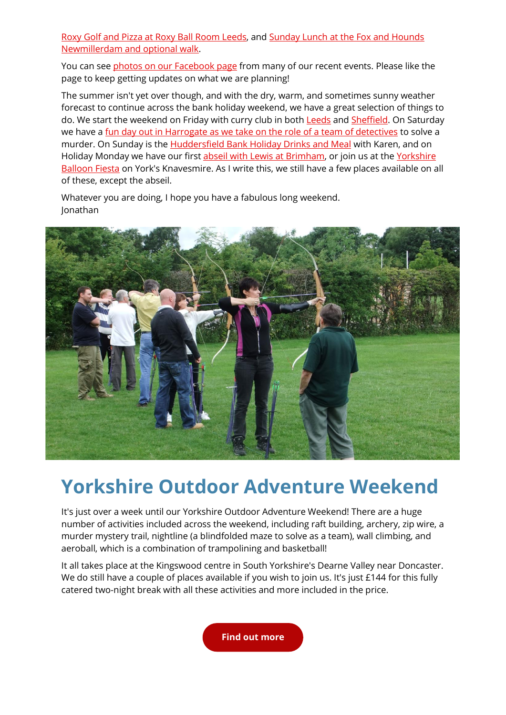[Roxy Golf and Pizza at Roxy Ball Room Leeds,](https://spiceuk.lt.acemlna.com/Prod/link-tracker?redirectUrl=aHR0cHMlM0ElMkYlMkZ3d3cuc3BpY2V1ay5jb20lMkZldmVudHMtaG9saWRheXMlMkZyb3h5LWdvbGYtYW5kLXBpenphLWF0LXJveHktYmFsbC1yb29tLWxlZWRz&sig=9az3zSRxNcZSmxQeemoYhv2EM4QAjMtw2DZV2boXCadc&iat=1629999909&a=650344965&account=spiceuk%2Eactivehosted%2Ecom&email=1lNuJE%2BrfgC%2F8jRYTdcwIV8mo4ad0FCroTtAVDq%2FbzQ%3D&s=b900027c55ea3ffe9431fd4817f89468&i=165A181A4A3906) and [Sunday Lunch at the Fox and Hounds](https://spiceuk.lt.acemlna.com/Prod/link-tracker?redirectUrl=aHR0cHMlM0ElMkYlMkZ3d3cuc3BpY2V1ay5jb20lMkZldmVudHMtaG9saWRheXMlMkZzdW5kYXktbHVuY2gtYXQtdGhlLWZveC1hbmQtaG91bmRzLW5ld21pbGxlcmRhbS1hbmQtb3B0aW9uYWwtd2Fsay0yOS1tYXItMjA=&sig=4G7XM8n5VvtYHUNaprZPu73E6hQxYjf2BpPCn7uLJhN2&iat=1629999909&a=650344965&account=spiceuk%2Eactivehosted%2Ecom&email=1lNuJE%2BrfgC%2F8jRYTdcwIV8mo4ad0FCroTtAVDq%2FbzQ%3D&s=b900027c55ea3ffe9431fd4817f89468&i=165A181A4A3907)  [Newmillerdam and optional walk.](https://spiceuk.lt.acemlna.com/Prod/link-tracker?redirectUrl=aHR0cHMlM0ElMkYlMkZ3d3cuc3BpY2V1ay5jb20lMkZldmVudHMtaG9saWRheXMlMkZzdW5kYXktbHVuY2gtYXQtdGhlLWZveC1hbmQtaG91bmRzLW5ld21pbGxlcmRhbS1hbmQtb3B0aW9uYWwtd2Fsay0yOS1tYXItMjA=&sig=4G7XM8n5VvtYHUNaprZPu73E6hQxYjf2BpPCn7uLJhN2&iat=1629999909&a=650344965&account=spiceuk%2Eactivehosted%2Ecom&email=1lNuJE%2BrfgC%2F8jRYTdcwIV8mo4ad0FCroTtAVDq%2FbzQ%3D&s=b900027c55ea3ffe9431fd4817f89468&i=165A181A4A3907)

You can see [photos on our Facebook page](https://spiceuk.lt.acemlna.com/Prod/link-tracker?redirectUrl=aHR0cHMlM0ElMkYlMkZ3d3cuZmFjZWJvb2suY29tJTJGU3BpY2VZb3Jrc2hpcmUlMkZwaG90b3M=&sig=sMpKnKwFebCi3wkYgL7AaTpSzeZokbfqXpkT2VJVmPE&iat=1629999909&a=650344965&account=spiceuk%2Eactivehosted%2Ecom&email=1lNuJE%2BrfgC%2F8jRYTdcwIV8mo4ad0FCroTtAVDq%2FbzQ%3D&s=b900027c55ea3ffe9431fd4817f89468&i=165A181A4A3871) from many of our recent events. Please like the page to keep getting updates on what we are planning!

The summer isn't yet over though, and with the dry, warm, and sometimes sunny weather forecast to continue across the bank holiday weekend, we have a great selection of things to do. We start the weekend on Friday with curry club in both [Leeds](https://spiceuk.lt.acemlna.com/Prod/link-tracker?redirectUrl=aHR0cHMlM0ElMkYlMkZ3d3cuc3BpY2V1ay5jb20lMkZldmVudHMtaG9saWRheXMlMkZzcGljZS1jdXJyeS1jbHViLXZpc2l0cy1iZW5nYWwtYnJhc3NlcmllLWxlZWRzLTI3LWF1Zy0yMQ==&sig=6N6RZKUJAy4qrgyCGZyFgTweC1yp1Paufw6a66oYJ1WW&iat=1629999909&a=650344965&account=spiceuk%2Eactivehosted%2Ecom&email=1lNuJE%2BrfgC%2F8jRYTdcwIV8mo4ad0FCroTtAVDq%2FbzQ%3D&s=b900027c55ea3ffe9431fd4817f89468&i=165A181A4A3887) and [Sheffield.](https://spiceuk.lt.acemlna.com/Prod/link-tracker?redirectUrl=aHR0cHMlM0ElMkYlMkZ3d3cuc3BpY2V1ay5jb20lMkZldmVudHMtaG9saWRheXMlMkZzcGljZS1jdXJyeS1jbHViLXZpc2l0cy1zZXZlbi1zcGljZXMtc2hlZmZpZWxk&sig=6fodA9zbZdnJJDc3EF9rsW3ZJJo4LKYhYseZLsGTYCm6&iat=1629999909&a=650344965&account=spiceuk%2Eactivehosted%2Ecom&email=1lNuJE%2BrfgC%2F8jRYTdcwIV8mo4ad0FCroTtAVDq%2FbzQ%3D&s=b900027c55ea3ffe9431fd4817f89468&i=165A181A4A3888) On Saturday we have a [fun day out in Harrogate as we take on the role of a team of detectives](https://spiceuk.lt.acemlna.com/Prod/link-tracker?redirectUrl=aHR0cHMlM0ElMkYlMkZ3d3cuc3BpY2V1ay5jb20lMkZldmVudHMtaG9saWRheXMlMkZ0aGUtaGFycm9nYXRlLXJpcHBlci1kZXRlY3RpdmUtZ2FtZQ==&sig=77sJ3N3b3XzZN9RXdXAQ8dayTCyP6D4VLcYtMARsTvVf&iat=1629999909&a=650344965&account=spiceuk%2Eactivehosted%2Ecom&email=1lNuJE%2BrfgC%2F8jRYTdcwIV8mo4ad0FCroTtAVDq%2FbzQ%3D&s=b900027c55ea3ffe9431fd4817f89468&i=165A181A4A3908) to solve a murder. On Sunday is the [Huddersfield Bank Holiday Drinks and Meal](https://spiceuk.lt.acemlna.com/Prod/link-tracker?redirectUrl=aHR0cHMlM0ElMkYlMkZ3d3cuc3BpY2V1ay5jb20lMkZldmVudHMtaG9saWRheXMlMkZodWRkZXJzZmllbGQtYmFuay1ob2xpZGF5LWRyaW5rcy1hbmQtbWVhbC0yOS1hdWctMjE=&sig=95HsBWsDGDP7ryEPnjbhk9kwXnCFonCqYZT6njVJzm5x&iat=1629999909&a=650344965&account=spiceuk%2Eactivehosted%2Ecom&email=1lNuJE%2BrfgC%2F8jRYTdcwIV8mo4ad0FCroTtAVDq%2FbzQ%3D&s=b900027c55ea3ffe9431fd4817f89468&i=165A181A4A3909) with Karen, and on Holiday Monday we have our first [abseil with Lewis at Brimham,](https://spiceuk.lt.acemlna.com/Prod/link-tracker?redirectUrl=aHR0cHMlM0ElMkYlMkZ3d3cuc3BpY2V1ay5jb20lMkZldmVudHMtaG9saWRheXMlMkZhYnNlaWxpbmctYXQtYnJpbWhhbQ==&sig=4UE9tBd2xYSaboYLmYz4a64ve3hyusQQPHf2vHpMjjST&iat=1629999909&a=650344965&account=spiceuk%2Eactivehosted%2Ecom&email=1lNuJE%2BrfgC%2F8jRYTdcwIV8mo4ad0FCroTtAVDq%2FbzQ%3D&s=b900027c55ea3ffe9431fd4817f89468&i=165A181A4A3910) or join us at th[e Yorkshire](https://spiceuk.lt.acemlna.com/Prod/link-tracker?redirectUrl=aHR0cHMlM0ElMkYlMkZ3d3cuc3BpY2V1ay5jb20lMkZldmVudHMtaG9saWRheXMlMkZ5b3Jrc2hpcmUtYmFsbG9vbi1maWVzdGE=&sig=P5nCx7q8wi46ynqZRGq89bY8zTgXYVbJ1akLR9ouFbL&iat=1629999909&a=650344965&account=spiceuk%2Eactivehosted%2Ecom&email=1lNuJE%2BrfgC%2F8jRYTdcwIV8mo4ad0FCroTtAVDq%2FbzQ%3D&s=b900027c55ea3ffe9431fd4817f89468&i=165A181A4A3890)  [Balloon Fiesta](https://spiceuk.lt.acemlna.com/Prod/link-tracker?redirectUrl=aHR0cHMlM0ElMkYlMkZ3d3cuc3BpY2V1ay5jb20lMkZldmVudHMtaG9saWRheXMlMkZ5b3Jrc2hpcmUtYmFsbG9vbi1maWVzdGE=&sig=P5nCx7q8wi46ynqZRGq89bY8zTgXYVbJ1akLR9ouFbL&iat=1629999909&a=650344965&account=spiceuk%2Eactivehosted%2Ecom&email=1lNuJE%2BrfgC%2F8jRYTdcwIV8mo4ad0FCroTtAVDq%2FbzQ%3D&s=b900027c55ea3ffe9431fd4817f89468&i=165A181A4A3890) on York's Knavesmire. As I write this, we still have a few places available on all of these, except the abseil.

Whatever you are doing, I hope you have a fabulous long weekend. Jonathan



## **Yorkshire Outdoor Adventure Weekend**

It's just over a week until our Yorkshire Outdoor Adventure Weekend! There are a huge number of activities included across the weekend, including raft building, archery, zip wire, a murder mystery trail, nightline (a blindfolded maze to solve as a team), wall climbing, and aeroball, which is a combination of trampolining and basketball!

It all takes place at the Kingswood centre in South Yorkshire's Dearne Valley near Doncaster. We do still have a couple of places available if you wish to join us. It's just £144 for this fully catered two-night break with all these activities and more included in the price.

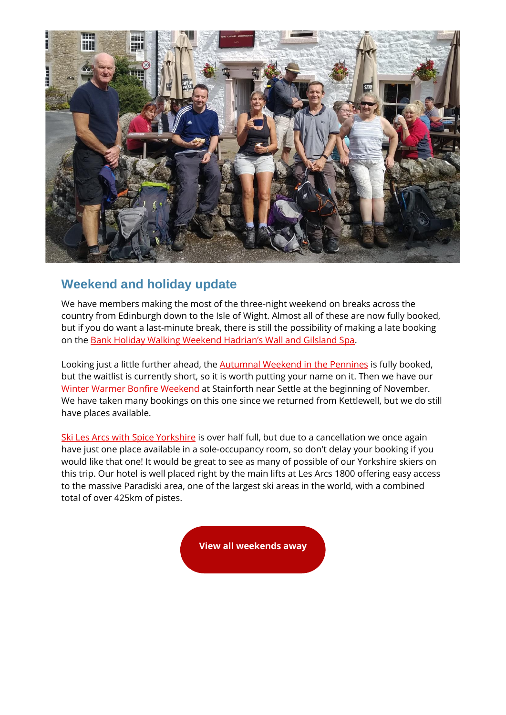

### **Weekend and holiday update**

We have members making the most of the three-night weekend on breaks across the country from Edinburgh down to the Isle of Wight. Almost all of these are now fully booked, but if you do want a last-minute break, there is still the possibility of making a late booking on the [Bank Holiday Walking Weekend Hadrian's Wall and Gilsland Spa](https://spiceuk.lt.acemlna.com/Prod/link-tracker?redirectUrl=aHR0cHMlM0ElMkYlMkZ3d3cuc3BpY2V1ay5jb20lMkZldmVudHMtaG9saWRheXMlMkZiYW5rLWhvbGlkYXktd2Fsa2luZy13ZWVrZW5kLWhhZHJpYW5zLXdhbGwtYW5kLWdpbHNsYW5kLXNwYQ==&sig=8tQNAe4P78etTErqQXAQ3mH1Vspu5XYVoVqtpVUmAWXm&iat=1629999909&a=650344965&account=spiceuk%2Eactivehosted%2Ecom&email=1lNuJE%2BrfgC%2F8jRYTdcwIV8mo4ad0FCroTtAVDq%2FbzQ%3D&s=b900027c55ea3ffe9431fd4817f89468&i=165A181A4A3877).

Looking just a little further ahead, the **Autumnal Weekend in the Pennines** is fully booked, but the waitlist is currently short, so it is worth putting your name on it. Then we have our [Winter Warmer Bonfire Weekend](https://spiceuk.lt.acemlna.com/Prod/link-tracker?redirectUrl=aHR0cHMlM0ElMkYlMkZ3d3cuc3BpY2V1ay5jb20lMkZldmVudHMtaG9saWRheXMlMkZ3aW50ZXItd2FybWVyLWJvbmZpcmUtd2Vla2VuZC0wNi1ub3YtMjA=&sig=BK62VAa7mjxCF5aaYA6Awiy9MYMwKfg3XJmjM7BVwnaJ&iat=1629999909&a=650344965&account=spiceuk%2Eactivehosted%2Ecom&email=1lNuJE%2BrfgC%2F8jRYTdcwIV8mo4ad0FCroTtAVDq%2FbzQ%3D&s=b900027c55ea3ffe9431fd4817f89468&i=165A181A4A3880) at Stainforth near Settle at the beginning of November. We have taken many bookings on this one since we returned from Kettlewell, but we do still have places available.

[Ski Les Arcs with Spice Yorkshire](https://spiceuk.lt.acemlna.com/Prod/link-tracker?redirectUrl=aHR0cHMlM0ElMkYlMkZ3d3cuc3BpY2V1ay5jb20lMkZldmVudHMtaG9saWRheXMlMkZza2ktbGVzLWFyY3Mtd2l0aC1zcGljZS15b3Jrc2hpcmU=&sig=AD2eRAoE6BySV1ePG8Quq6rvuPt1veMz4ng3VTKN7C8F&iat=1629999909&a=650344965&account=spiceuk%2Eactivehosted%2Ecom&email=1lNuJE%2BrfgC%2F8jRYTdcwIV8mo4ad0FCroTtAVDq%2FbzQ%3D&s=b900027c55ea3ffe9431fd4817f89468&i=165A181A4A3882) is over half full, but due to a cancellation we once again have just one place available in a sole-occupancy room, so don't delay your booking if you would like that one! It would be great to see as many of possible of our Yorkshire skiers on this trip. Our hotel is well placed right by the main lifts at Les Arcs 1800 offering easy access to the massive Paradiski area, one of the largest ski areas in the world, with a combined total of over 425km of pistes.

**[View all weekends away](https://spiceuk.lt.acemlna.com/Prod/link-tracker?redirectUrl=aHR0cHMlM0ElMkYlMkZ3d3cuc3BpY2V1ay5jb20lMkZldmVudHMtaG9saWRheXMlM0Zvd25lciUzREFsbCUyNm1hc3RlckNhdGVnb3J5JTNEV2Vla2VuZHMlMjUyMEF3YXk=&sig=H2n68batCQPVYgKY7rU95iBfU3wZN6G12Cv1ooQyUdqP&iat=1629999909&a=650344965&account=spiceuk%2Eactivehosted%2Ecom&email=1lNuJE%2BrfgC%2F8jRYTdcwIV8mo4ad0FCroTtAVDq%2FbzQ%3D&s=b900027c55ea3ffe9431fd4817f89468&i=165A181A4A3876)**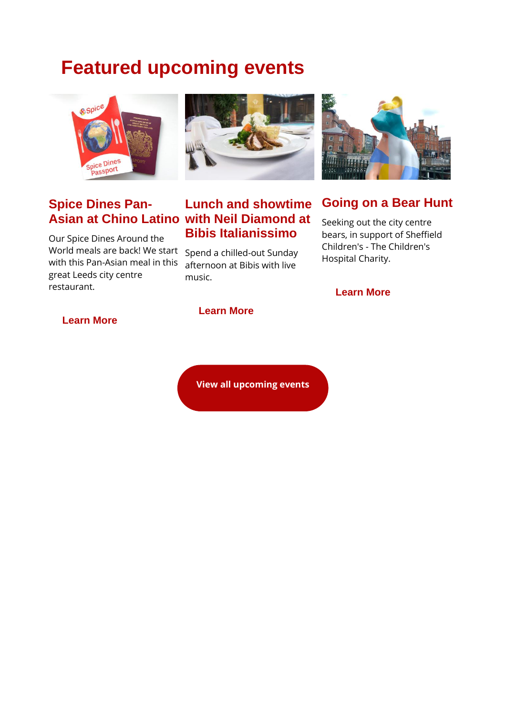## **Featured upcoming events**



# **Spice Dines Pan-**

Our Spice Dines Around the World meals are back! We start Spend a chilled-out Sunday with this Pan-Asian meal in this great Leeds city centre restaurant.



#### **Asian at Chino Latino with Neil Diamond at Lunch and showtime Bibis Italianissimo**

afternoon at Bibis with live music.



#### **Going on a Bear Hunt**

Seeking out the city centre bears, in support of Sheffield Children's - The Children's Hospital Charity.

**[Learn More](https://spiceuk.lt.acemlna.com/Prod/link-tracker?redirectUrl=aHR0cHMlM0ElMkYlMkZ3d3cuc3BpY2V1ay5jb20lMkZldmVudHMtaG9saWRheXMlMkZnb2luZy1vbi1hLWJlYXItaHVudA==&sig=2biWdWHps9NGLPLxQoJoFVCCZDDQ3cpP93rqMcda5JjA&iat=1629999909&a=650344965&account=spiceuk%2Eactivehosted%2Ecom&email=1lNuJE%2BrfgC%2F8jRYTdcwIV8mo4ad0FCroTtAVDq%2FbzQ%3D&s=b900027c55ea3ffe9431fd4817f89468&i=165A181A4A3892)**

#### **[Learn More](https://spiceuk.lt.acemlna.com/Prod/link-tracker?redirectUrl=aHR0cHMlM0ElMkYlMkZ3d3cuc3BpY2V1ay5jb20lMkZldmVudHMtaG9saWRheXMlMkZzcGljZS1kaW5lcy1wYW5hc2lhbi1hdC1jaGluby1sYXRpbm9zLWxlZWRz&sig=BZoqyKKh6BczvvGj8yJXNHBWfdWi38oCcTvX3mAJN3Ee&iat=1629999909&a=650344965&account=spiceuk%2Eactivehosted%2Ecom&email=1lNuJE%2BrfgC%2F8jRYTdcwIV8mo4ad0FCroTtAVDq%2FbzQ%3D&s=b900027c55ea3ffe9431fd4817f89468&i=165A181A4A3891)**

#### **[Learn More](https://spiceuk.lt.acemlna.com/Prod/link-tracker?redirectUrl=aHR0cHMlM0ElMkYlMkZ3d3cuc3BpY2V1ay5jb20lMkZldmVudHMtaG9saWRheXMlMkZsdW5jaC1hbmQtc2hvd3RpbWUtd2l0aC1uZWlsLWRpYW1vbmQtYXQtYmliaXMtaXRhbGlhbmlzc2ltby1sZWVkcw==&sig=3GTsWbgVFm96wNkEqupeD1JhvThGagAe6oGMKD5Qs8Rm&iat=1629999909&a=650344965&account=spiceuk%2Eactivehosted%2Ecom&email=1lNuJE%2BrfgC%2F8jRYTdcwIV8mo4ad0FCroTtAVDq%2FbzQ%3D&s=b900027c55ea3ffe9431fd4817f89468&i=165A181A4A3911)**

**[View all upcoming events](https://spiceuk.lt.acemlna.com/Prod/link-tracker?redirectUrl=aHR0cHMlM0ElMkYlMkZ3d3cuc3BpY2V1ay5jb20lMkZldmVudHMtaG9saWRheXMlM0ZtYXN0ZXJDYXRlZ29yeSUzREFsbCUyNmNhdGVnb3J5JTNEQWxsJTI2b3duZXIlM0RBbGw=&sig=96JfgMZv1jasEbEhmL8mix15oE2SnXBJKsTZLaUFfBWu&iat=1629999909&a=650344965&account=spiceuk%2Eactivehosted%2Ecom&email=1lNuJE%2BrfgC%2F8jRYTdcwIV8mo4ad0FCroTtAVDq%2FbzQ%3D&s=b900027c55ea3ffe9431fd4817f89468&i=165A181A4A3889)**